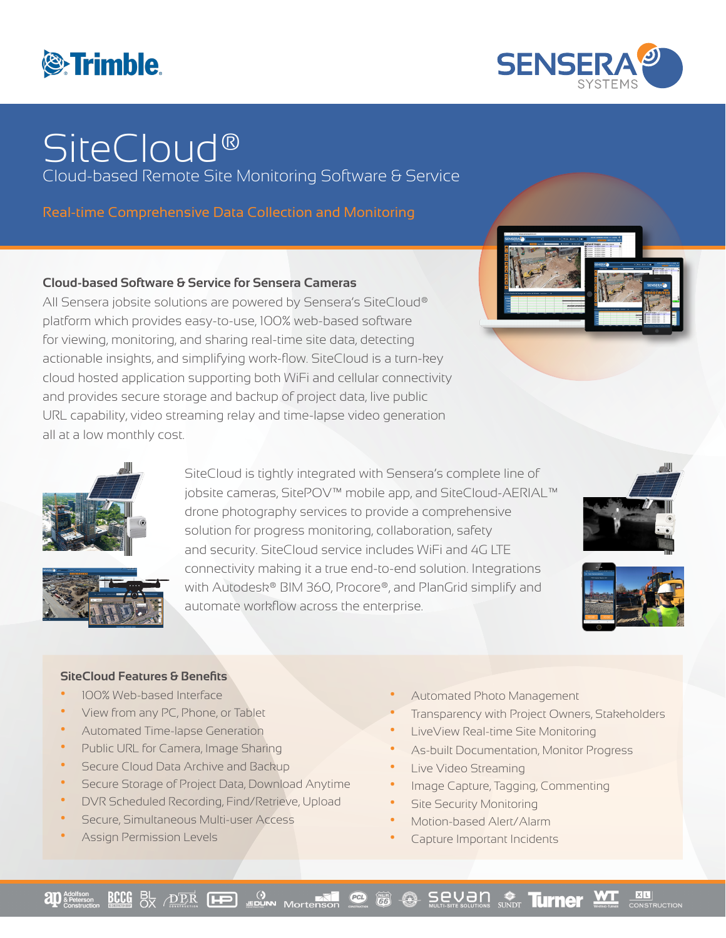



# **SiteCloud®**

Cloud-based Remote Site Monitoring Software & Service

Real-time Comprehensive Data Collection and Monitoring

## **Cloud-based Software & Service for Sensera Cameras**

All Sensera jobsite solutions are powered by Sensera's SiteCloud® platform which provides easy-to-use, 100% web-based software for viewing, monitoring, and sharing real-time site data, detecting actionable insights, and simplifying work-flow. SiteCloud is a turn-key cloud hosted application supporting both WiFi and cellular connectivity and provides secure storage and backup of project data, live public URL capability, video streaming relay and time-lapse video generation all at a low monthly cost.







SiteCloud is tightly integrated with Sensera's complete line of jobsite cameras, SitePOV™ mobile app, and SiteCloud-AERIAL™ drone photography services to provide a comprehensive solution for progress monitoring, collaboration, safety and security. SiteCloud service includes WiFi and 4G LTE connectivity making it a true end-to-end solution. Integrations with Autodesk® BIM 360, Procore®, and PlanGrid simplify and automate workflow across the enterprise.





### **SiteCloud Features & Benefits**

- **•** 100% Web-based Interface
- **•** View from any PC, Phone, or Tablet
- **•** Automated Time-lapse Generation
- **•** Public URL for Camera, Image Sharing
- **•** Secure Cloud Data Archive and Backup
- **•** Secure Storage of Project Data, Download Anytime
- **•** DVR Scheduled Recording, Find/Retrieve, Upload
- **•** Secure, Simultaneous Multi-user Access
- **•** Assign Permission Levels
- **•** Automated Photo Management
- **•** Transparency with Project Owners, Stakeholders
- **•** LiveView Real-time Site Monitoring
- **•** As-built Documentation, Monitor Progress
- **•** Live Video Streaming
- **•** Image Capture, Tagging, Commenting
- **•** Site Security Monitoring
- **•** Motion-based Alert/Alarm
- **•** Capture Important Incidents